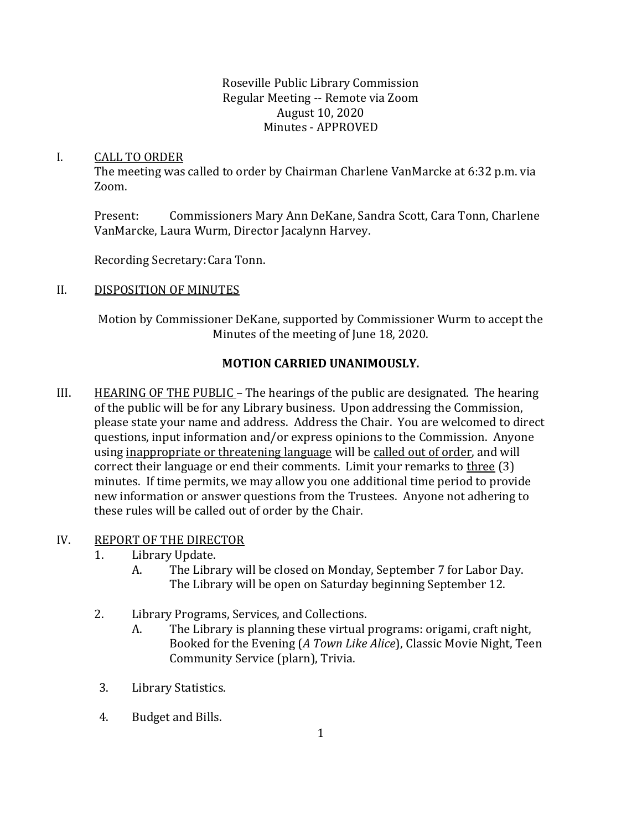Roseville Public Library Commission Regular Meeting -- Remote via Zoom August 10, 2020 Minutes - APPROVED

#### I. CALL TO ORDER

The meeting was called to order by Chairman Charlene VanMarcke at 6:32 p.m. via Zoom.

Present: Commissioners Mary Ann DeKane, Sandra Scott, Cara Tonn, Charlene VanMarcke, Laura Wurm, Director Jacalynn Harvey.

Recording Secretary:Cara Tonn.

### II. DISPOSITION OF MINUTES

Motion by Commissioner DeKane, supported by Commissioner Wurm to accept the Minutes of the meeting of June 18, 2020.

# **MOTION CARRIED UNANIMOUSLY.**

III. HEARING OF THE PUBLIC – The hearings of the public are designated. The hearing of the public will be for any Library business. Upon addressing the Commission, please state your name and address. Address the Chair. You are welcomed to direct questions, input information and/or express opinions to the Commission. Anyone using inappropriate or threatening language will be called out of order, and will correct their language or end their comments. Limit your remarks to three (3) minutes. If time permits, we may allow you one additional time period to provide new information or answer questions from the Trustees. Anyone not adhering to these rules will be called out of order by the Chair.

### IV. REPORT OF THE DIRECTOR

- 1. Library Update.
	- A. The Library will be closed on Monday, September 7 for Labor Day. The Library will be open on Saturday beginning September 12.
- 2. Library Programs, Services, and Collections.
	- A. The Library is planning these virtual programs: origami, craft night, Booked for the Evening (*A Town Like Alice*), Classic Movie Night, Teen Community Service (plarn), Trivia.
- 3. Library Statistics.
- 4. Budget and Bills.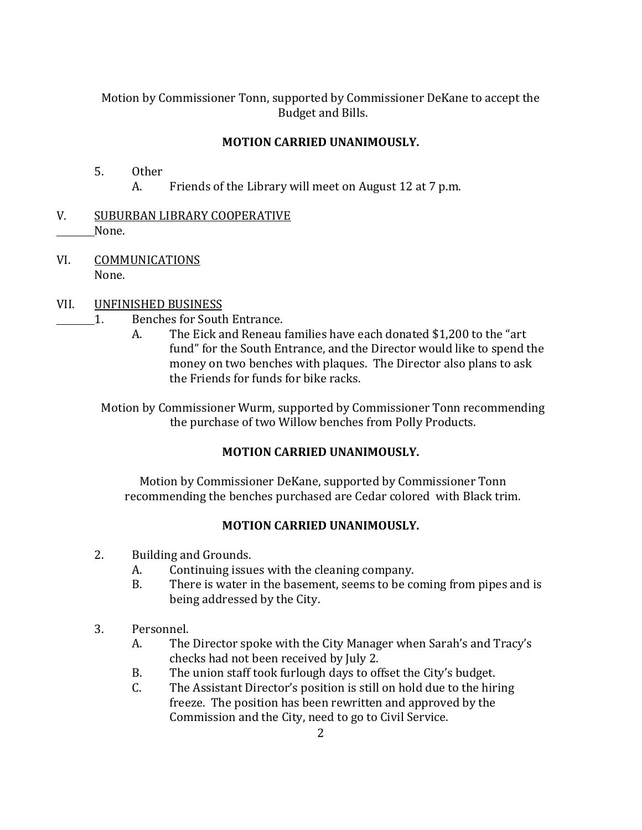Motion by Commissioner Tonn, supported by Commissioner DeKane to accept the Budget and Bills.

## **MOTION CARRIED UNANIMOUSLY.**

- 5. Other A. Friends of the Library will meet on August 12 at 7 p.m.
- V. SUBURBAN LIBRARY COOPERATIVE None.
- VI. COMMUNICATIONS None.

### VII. UNFINISHED BUSINESS

- 1. Benches for South Entrance.
	- A. The Eick and Reneau families have each donated \$1,200 to the "art fund" for the South Entrance, and the Director would like to spend the money on two benches with plaques. The Director also plans to ask the Friends for funds for bike racks.

Motion by Commissioner Wurm, supported by Commissioner Tonn recommending the purchase of two Willow benches from Polly Products.

### **MOTION CARRIED UNANIMOUSLY.**

Motion by Commissioner DeKane, supported by Commissioner Tonn recommending the benches purchased are Cedar colored with Black trim.

# **MOTION CARRIED UNANIMOUSLY.**

- 2. Building and Grounds.
	- A. Continuing issues with the cleaning company.
	- B. There is water in the basement, seems to be coming from pipes and is being addressed by the City.
- 3. Personnel.
	- A. The Director spoke with the City Manager when Sarah's and Tracy's checks had not been received by July 2.
	- B. The union staff took furlough days to offset the City's budget.
	- C. The Assistant Director's position is still on hold due to the hiring freeze. The position has been rewritten and approved by the Commission and the City, need to go to Civil Service.